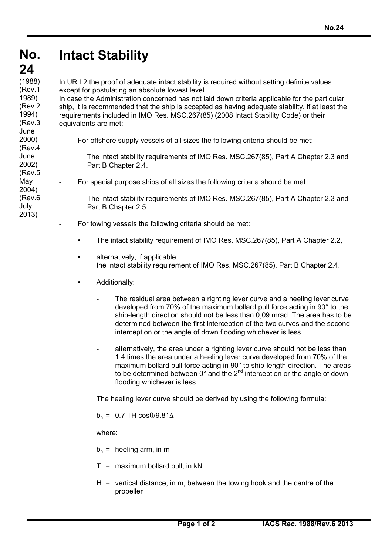## **No. No. Intact Stability**

## **24 24**

2000)

June 2002) (Rev.5 May 2004) (Rev.6 July 2013)

 $(1988)$ In UR L2 the proof of adequate intact stability is required without setting definite values except for postulating an absolute lowest level. (Rev.1 1989)

In case the Administration concerned has not laid down criteria applicable for the particular ship, it is recommended that the ship is accepted as having adequate stability, if at least the requirements included in IMO Res. MSC.267(85) (2008 Intact Stability Code) or their equivalents are met: (Rev.2 1994) (Rev.3 June

For offshore supply vessels of all sizes the following criteria should be met: (Rev.4

> The intact stability requirements of IMO Res. MSC.267(85), Part A Chapter 2.3 and Part B Chapter 2.4.

- For special purpose ships of all sizes the following criteria should be met:

The intact stability requirements of IMO Res. MSC.267(85), Part A Chapter 2.3 and Part B Chapter 2.5.

- For towing vessels the following criteria should be met:
	- The intact stability requirement of IMO Res. MSC.267(85), Part A Chapter 2.2,
	- alternatively, if applicable: the intact stability requirement of IMO Res. MSC.267(85), Part B Chapter 2.4.
	- Additionally:
		- The residual area between a righting lever curve and a heeling lever curve developed from 70% of the maximum bollard pull force acting in 90° to the ship-length direction should not be less than 0,09 mrad. The area has to be determined between the first interception of the two curves and the second interception or the angle of down flooding whichever is less.
		- alternatively, the area under a righting lever curve should not be less than 1.4 times the area under a heeling lever curve developed from 70% of the maximum bollard pull force acting in 90° to ship-length direction. The areas to be determined between 0° and the 2<sup>nd</sup> interception or the angle of down flooding whichever is less.

The heeling lever curve should be derived by using the following formula:

 $b_h = 0.7$  TH cos $\theta$ /9.81 $\Delta$ 

where:

- $b_h$  = heeling arm, in m
- $T =$  maximum bollard pull, in  $kN$
- $H =$  vertical distance, in m, between the towing hook and the centre of the propeller